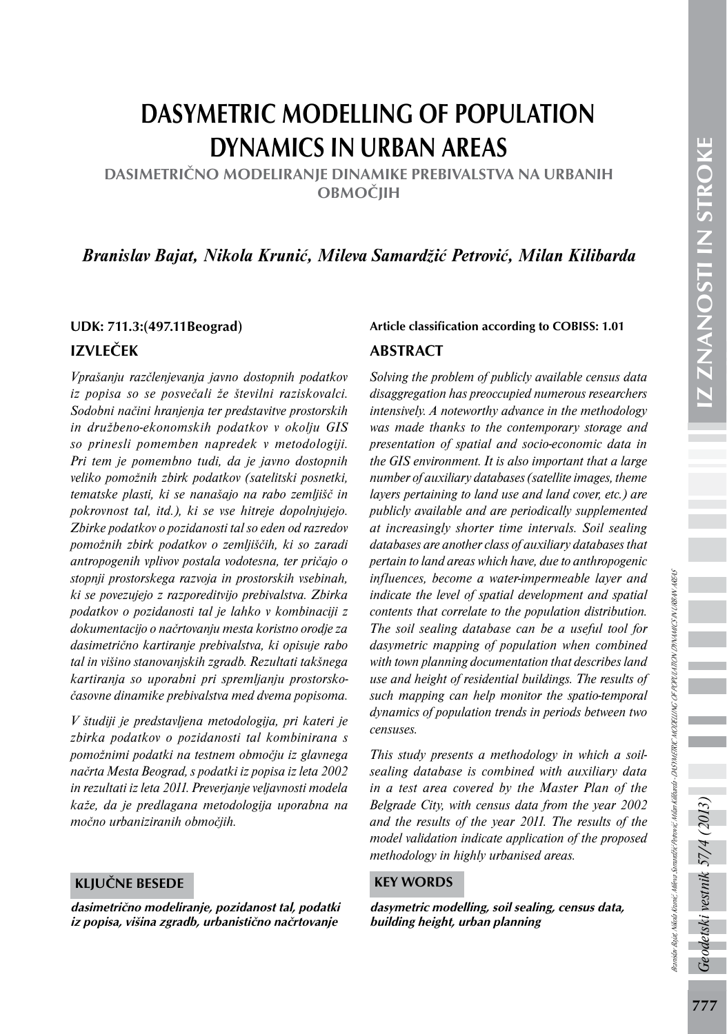# DASYMETRIC MODELLING OF POPULATION DYNAMICS IN URBAN AREAS

DASIMETRIČNO MODELIRANJE DINAMIKE PREBIVALSTVA NA URBANIH **OBMOČIIH** 

# *Branislav Bajat, Nikola Krunić, Mileva Samardžić Petrović, Milan Kilibarda*

# IZVLEČEK

*Vprašanju razčlenjevanja javno dostopnih podatkov iz popisa so se posvečali že številni raziskovalci. Sodobni načini hranjenja ter predstavitve prostorskih in družbeno-ekonomskih podatkov v okolju GIS so prinesli pomemben napredek v metodologiji. Pri tem je pomembno tudi, da je javno dostopnih veliko pomožnih zbirk podatkov (satelitski posnetki, tematske plasti, ki se nanašajo na rabo zemljišč in pokrovnost tal, itd.), ki se vse hitreje dopolnjujejo. Zbirke podatkov o pozidanosti tal so eden od razredov pomožnih zbirk podatkov o zemljiščih, ki so zaradi antropogenih vplivov postala vodotesna, ter pričajo o stopnji prostorskega razvoja in prostorskih vsebinah, ki se povezujejo z razporeditvijo prebivalstva. Zbirka podatkov o pozidanosti tal je lahko v kombinaciji z dokumentacijo o načrtovanju mesta koristno orodje za dasimetrično kartiranje prebivalstva, ki opisuje rabo tal in višino stanovanjskih zgradb. Rezultati takšnega kartiranja so uporabni pri spremljanju prostorskočasovne dinamike prebivalstva med dvema popisoma.* 

*V študiji je predstavljena metodologija, pri kateri je zbirka podatkov o pozidanosti tal kombinirana s pomožnimi podatki na testnem območju iz glavnega načrta Mesta Beograd, s podatki iz popisa iz leta 2002 in rezultati iz leta 2011. Preverjanje veljavnosti modela kaže, da je predlagana metodologija uporabna na močno urbaniziranih območjih.*

#### KLJUČNE BESEDE

dasimetrično modeliranje, pozidanost tal, podatki iz popisa, višina zgradb, urbanistično načrtovanje

# UDK: 711.3:(497.11Beograd) Article classification according to COBISS: 1.01 ABSTRACT

*Solving the problem of publicly available census data disaggregation has preoccupied numerous researchers intensively. A noteworthy advance in the methodology was made thanks to the contemporary storage and presentation of spatial and socio-economic data in the GIS environment. It is also important that a large number of auxiliary databases (satellite images, theme layers pertaining to land use and land cover, etc.) are publicly available and are periodically supplemented at increasingly shorter time intervals. Soil sealing databases are another class of auxiliary databases that pertain to land areas which have, due to anthropogenic influences, become a water-impermeable layer and indicate the level of spatial development and spatial contents that correlate to the population distribution. The soil sealing database can be a useful tool for dasymetric mapping of population when combined with town planning documentation that describes land use and height of residential buildings. The results of such mapping can help monitor the spatio-temporal dynamics of population trends in periods between two censuses.* 

*This study presents a methodology in which a soilsealing database is combined with auxiliary data in a test area covered by the Master Plan of the Belgrade City, with census data from the year 2002 and the results of the year 2011. The results of the model validation indicate application of the proposed methodology in highly urbanised areas.*

#### KEY WORDS

dasymetric modelling, soil sealing, census data, building height, urban planning

 $\tilde{r}$ 

odetski vestnik 57/4 (2013)

Branislav Bajat, Nikola Krunić, Mileva Samardžić Petrović, Milan Kilibarda - DASYMETRIC MODELLING OF POPULATION DYNAMICS IN URBAN AREAS

nislav Baja i Nikola Kumić, Milesa Samardžić Perović, Mikon Kilbarda -DASH METRIC MODZLINIG OF POPULATION DINAMICS IN URBAN AREAS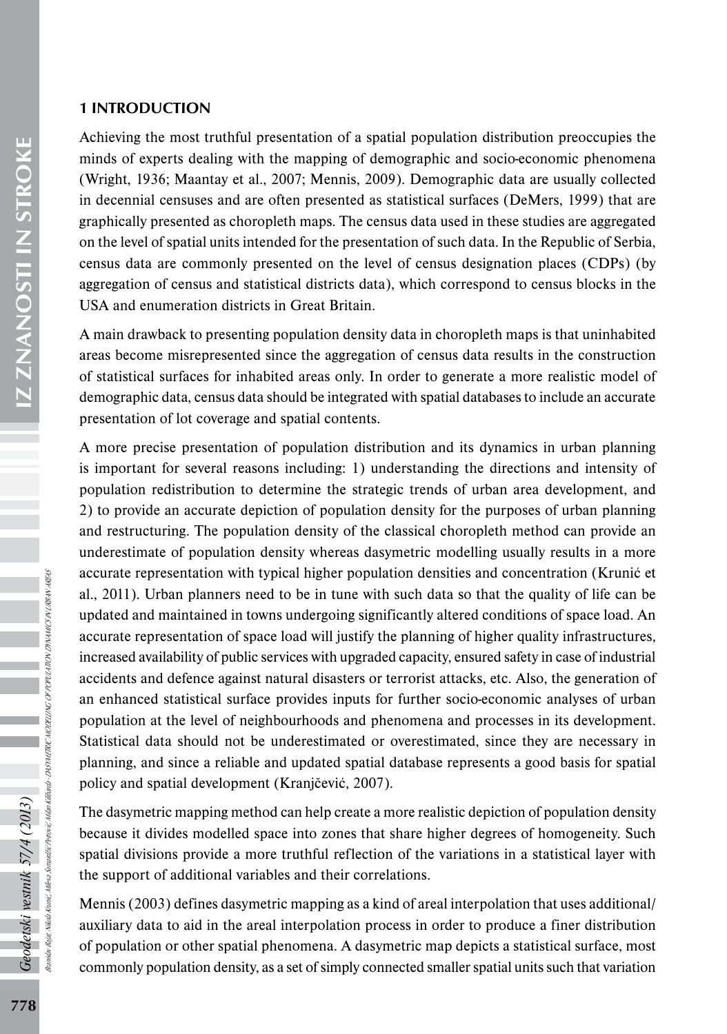#### 1 INTRODUCTION

Achieving the most truthful presentation of a spatial population distribution preoccupies the minds of experts dealing with the mapping of demographic and socio-economic phenomena (Wright, 1936; Maantay et al., 2007; Mennis, 2009). Demographic data are usually collected in decennial censuses and are often presented as statistical surfaces (DeMers, 1999) that are graphically presented as choropleth maps. The census data used in these studies are aggregated on the level of spatial units intended for the presentation of such data. In the Republic of Serbia, census data are commonly presented on the level of census designation places (CDPs) (by aggregation of census and statistical districts data), which correspond to census blocks in the USA and enumeration districts in Great Britain.

A main drawback to presenting population density data in choropleth maps is that uninhabited areas become misrepresented since the aggregation of census data results in the construction of statistical surfaces for inhabited areas only. In order to generate a more realistic model of demographic data, census data should be integrated with spatial databases to include an accurate presentation of lot coverage and spatial contents.

A more precise presentation of population distribution and its dynamics in urban planning is important for several reasons including: 1) understanding the directions and intensity of population redistribution to determine the strategic trends of urban area development, and 2) to provide an accurate depiction of population density for the purposes of urban planning and restructuring. The population density of the classical choropleth method can provide an underestimate of population density whereas dasymetric modelling usually results in a more accurate representation with typical higher population densities and concentration (Krunić et al., 2011). Urban planners need to be in tune with such data so that the quality of life can be updated and maintained in towns undergoing significantly altered conditions of space load. An accurate representation of space load will justify the planning of higher quality infrastructures, increased availability of public services with upgraded capacity, ensured safety in case of industrial accidents and defence against natural disasters or terrorist attacks, etc. Also, the generation of an enhanced statistical surface provides inputs for further socio-economic analyses of urban population at the level of neighbourhoods and phenomena and processes in its development. Statistical data should not be underestimated or overestimated, since they are necessary in planning, and since a reliable and updated spatial database represents a good basis for spatial policy and spatial development (Kranjčević, 2007).

The dasymetric mapping method can help create a more realistic depiction of population density because it divides modelled space into zones that share higher degrees of homogeneity. Such spatial divisions provide a more truthful reflection of the variations in a statistical layer with the support of additional variables and their correlations.

Mennis (2003) defines dasymetric mapping as a kind of areal interpolation that uses additional/ auxiliary data to aid in the areal interpolation process in order to produce a finer distribution of population or other spatial phenomena. A dasymetric map depicts a statistical surface, most commonly population density, as a set of simply connected smaller spatial units such that variation

Branislav Bajat, Nikola Krunić, Mileva Samardžić Petrović, Milan Kilibarda - DASYMETRIC MODELLING OF POPULATION DYNAMICS IN URBAN AREAS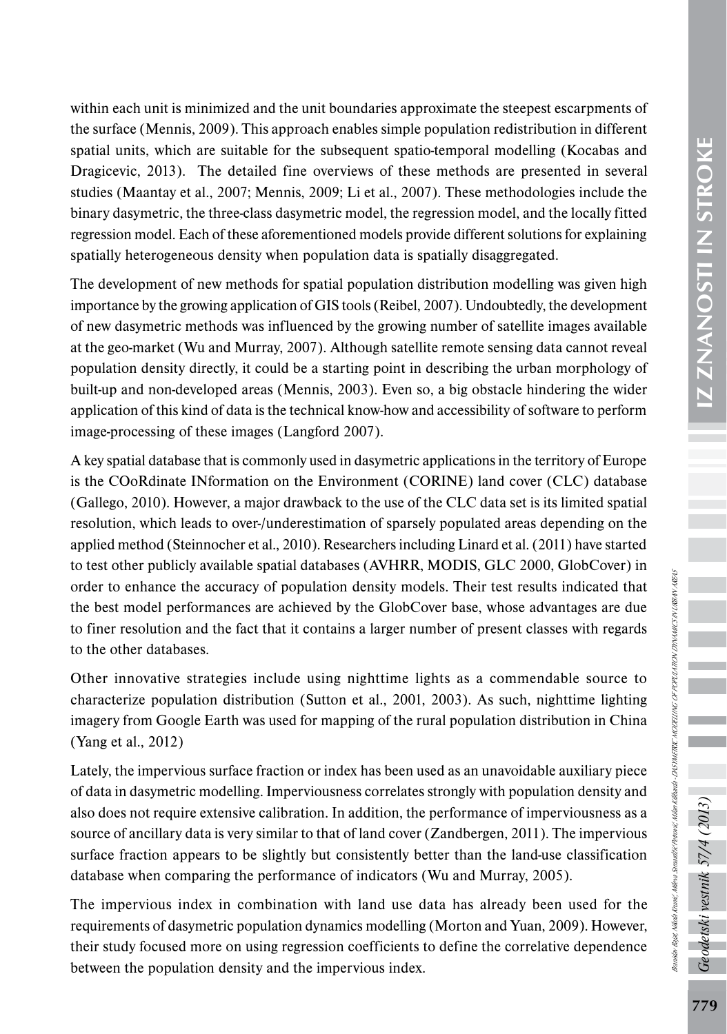within each unit is minimized and the unit boundaries approximate the steepest escarpments of the surface (Mennis, 2009). This approach enables simple population redistribution in different spatial units, which are suitable for the subsequent spatio-temporal modelling (Kocabas and Dragicevic, 2013). The detailed fine overviews of these methods are presented in several studies (Maantay et al., 2007; Mennis, 2009; Li et al., 2007). These methodologies include the binary dasymetric, the three-class dasymetric model, the regression model, and the locally fitted regression model. Each of these aforementioned models provide different solutions for explaining spatially heterogeneous density when population data is spatially disaggregated. The development of new methods for spatial population distribution modelling was given high

importance by the growing application of GIS tools (Reibel, 2007). Undoubtedly, the development of new dasymetric methods was influenced by the growing number of satellite images available at the geo-market (Wu and Murray, 2007). Although satellite remote sensing data cannot reveal population density directly, it could be a starting point in describing the urban morphology of built-up and non-developed areas (Mennis, 2003). Even so, a big obstacle hindering the wider application of this kind of data is the technical know-how and accessibility of software to perform image-processing of these images (Langford 2007).

A key spatial database that is commonly used in dasymetric applications in the territory of Europe is the COoRdinate INformation on the Environment (CORINE) land cover (CLC) database (Gallego, 2010). However, a major drawback to the use of the CLC data set is its limited spatial resolution, which leads to over-/underestimation of sparsely populated areas depending on the applied method (Steinnocher et al., 2010). Researchers including Linard et al. (2011) have started to test other publicly available spatial databases (AVHRR, MODIS, GLC 2000, GlobCover) in order to enhance the accuracy of population density models. Their test results indicated that the best model performances are achieved by the GlobCover base, whose advantages are due to finer resolution and the fact that it contains a larger number of present classes with regards to the other databases.

Other innovative strategies include using nighttime lights as a commendable source to characterize population distribution (Sutton et al., 2001, 2003). As such, nighttime lighting imagery from Google Earth was used for mapping of the rural population distribution in China (Yang et al., 2012)

Lately, the impervious surface fraction or index has been used as an unavoidable auxiliary piece of data in dasymetric modelling. Imperviousness correlates strongly with population density and also does not require extensive calibration. In addition, the performance of imperviousness as a source of ancillary data is very similar to that of land cover (Zandbergen, 2011). The impervious surface fraction appears to be slightly but consistently better than the land-use classification database when comparing the performance of indicators (Wu and Murray, 2005).

The impervious index in combination with land use data has already been used for the requirements of dasymetric population dynamics modelling (Morton and Yuan, 2009). However, their study focused more on using regression coefficients to define the correlative dependence between the population density and the impervious index.

Geodetski vestnik 57/4 (2013)

Branislav Bajat, Nikola Krunić, Mileva Samardžić Petrović, Milan Kilibarda - DASYMETRIC MODELLING OF POPULATION DYNAMICS IN URBAN AREAS

Ranislav Bajat, Nikola Kranić, Milera Samardžić Perrović, Mikolná v DASYMETRIC MODZLINGO OF POPULATRON DINAMICS N URBAN AREAS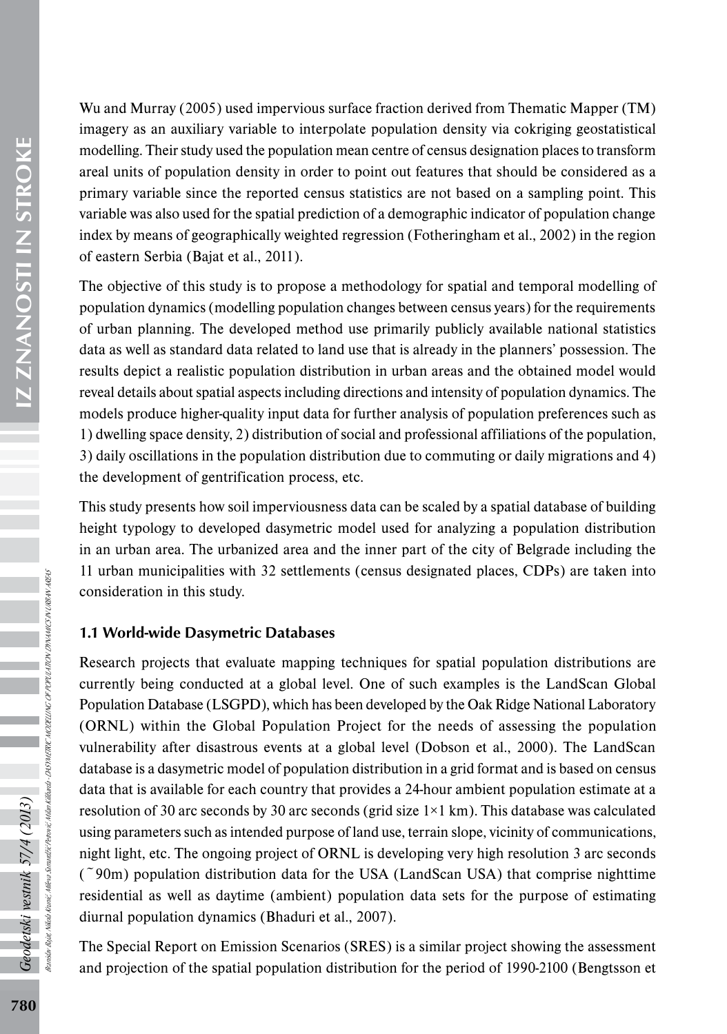Wu and Murray (2005) used impervious surface fraction derived from Thematic Mapper (TM) imagery as an auxiliary variable to interpolate population density via cokriging geostatistical modelling. Their study used the population mean centre of census designation places to transform areal units of population density in order to point out features that should be considered as a primary variable since the reported census statistics are not based on a sampling point. This variable was also used for the spatial prediction of a demographic indicator of population change index by means of geographically weighted regression (Fotheringham et al., 2002) in the region of eastern Serbia (Bajat et al., 2011).

The objective of this study is to propose a methodology for spatial and temporal modelling of population dynamics (modelling population changes between census years) for the requirements of urban planning. The developed method use primarily publicly available national statistics data as well as standard data related to land use that is already in the planners' possession. The results depict a realistic population distribution in urban areas and the obtained model would reveal details about spatial aspects including directions and intensity of population dynamics. The models produce higher-quality input data for further analysis of population preferences such as 1) dwelling space density, 2) distribution of social and professional affiliations of the population, 3) daily oscillations in the population distribution due to commuting or daily migrations and 4) the development of gentrification process, etc.

This study presents how soil imperviousness data can be scaled by a spatial database of building height typology to developed dasymetric model used for analyzing a population distribution in an urban area. The urbanized area and the inner part of the city of Belgrade including the 11 urban municipalities with 32 settlements (census designated places, CDPs) are taken into consideration in this study.

#### 1.1 World-wide Dasymetric Databases

Research projects that evaluate mapping techniques for spatial population distributions are currently being conducted at a global level. One of such examples is the LandScan Global Population Database (LSGPD), which has been developed by the Oak Ridge National Laboratory (ORNL) within the Global Population Project for the needs of assessing the population vulnerability after disastrous events at a global level (Dobson et al., 2000). The LandScan database is a dasymetric model of population distribution in a grid format and is based on census data that is available for each country that provides a 24-hour ambient population estimate at a resolution of 30 arc seconds by 30 arc seconds (grid size  $1\times1$  km). This database was calculated using parameters such as intended purpose of land use, terrain slope, vicinity of communications, night light, etc. The ongoing project of ORNL is developing very high resolution 3 arc seconds  $($   $\degree$ 90m) population distribution data for the USA (LandScan USA) that comprise nighttime residential as well as daytime (ambient) population data sets for the purpose of estimating diurnal population dynamics (Bhaduri et al., 2007).

The Special Report on Emission Scenarios (SRES) is a similar project showing the assessment and projection of the spatial population distribution for the period of 1990-2100 (Bengtsson et

Branislav Bajat, Nikola Krunić, Mileva Samardžić Petrović, Milan Kilibarda - DASYMETRIC MODELLING OF POPULATION DYNAMICS IN URBAN AREAS

da - DASYMETRIC MODELING OF POPULATION DYNAMICS IN URBAN AREAS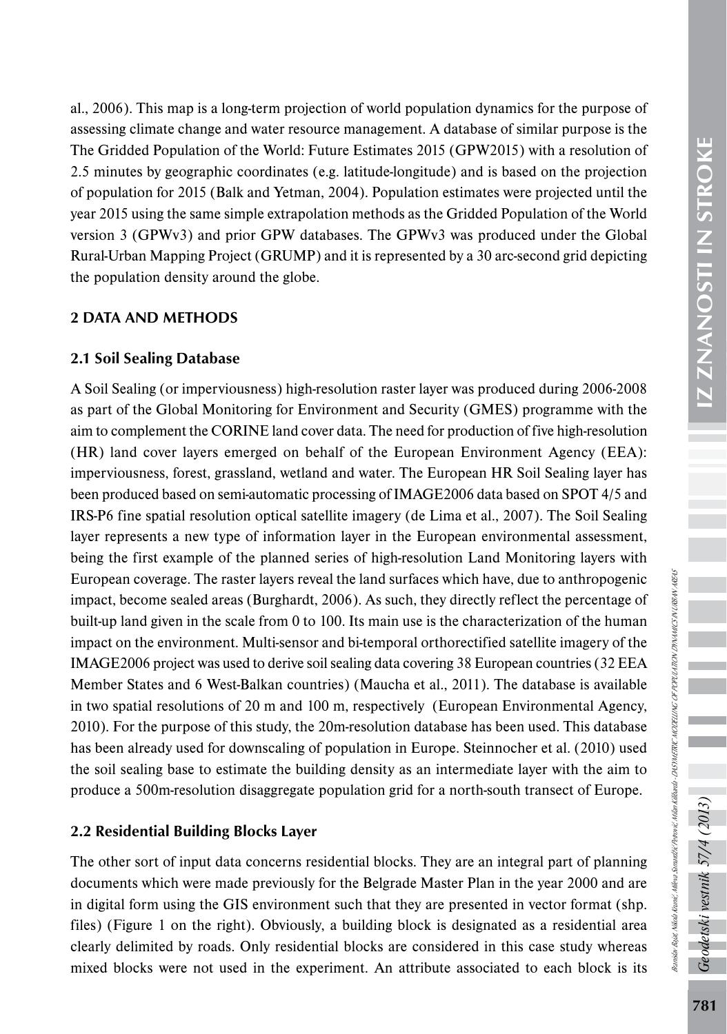al., 2006). This map is a long-term projection of world population dynamics for the purpose of assessing climate change and water resource management. A database of similar purpose is the The Gridded Population of the World: Future Estimates 2015 (GPW2015) with a resolution of 2.5 minutes by geographic coordinates (e.g. latitude-longitude) and is based on the projection of population for 2015 (Balk and Yetman, 2004). Population estimates were projected until the year 2015 using the same simple extrapolation methods as the Gridded Population of the World version 3 (GPWv3) and prior GPW databases. The GPWv3 was produced under the Global Rural-Urban Mapping Project (GRUMP) and it is represented by a 30 arc-second grid depicting the population density around the globe.

# 2 DATA AND METHODS

# 2.1 Soil Sealing Database

A Soil Sealing (or imperviousness) high-resolution raster layer was produced during 2006-2008 as part of the Global Monitoring for Environment and Security (GMES) programme with the aim to complement the CORINE land cover data. The need for production of five high-resolution (HR) land cover layers emerged on behalf of the European Environment Agency (EEA): imperviousness, forest, grassland, wetland and water. The European HR Soil Sealing layer has been produced based on semi-automatic processing of IMAGE2006 data based on SPOT 4/5 and IRS-P6 fine spatial resolution optical satellite imagery (de Lima et al., 2007). The Soil Sealing layer represents a new type of information layer in the European environmental assessment, being the first example of the planned series of high-resolution Land Monitoring layers with European coverage. The raster layers reveal the land surfaces which have, due to anthropogenic impact, become sealed areas (Burghardt, 2006). As such, they directly reflect the percentage of built-up land given in the scale from 0 to 100. Its main use is the characterization of the human impact on the environment. Multi-sensor and bi-temporal orthorectified satellite imagery of the IMAGE2006 project was used to derive soil sealing data covering 38 European countries (32 EEA Member States and 6 West-Balkan countries) (Maucha et al., 2011). The database is available in two spatial resolutions of 20 m and 100 m, respectively (European Environmental Agency, 2010). For the purpose of this study, the 20m-resolution database has been used. This database has been already used for downscaling of population in Europe. Steinnocher et al. (2010) used the soil sealing base to estimate the building density as an intermediate layer with the aim to produce a 500m-resolution disaggregate population grid for a north-south transect of Europe.

# 2.2 Residential Building Blocks Layer

The other sort of input data concerns residential blocks. They are an integral part of planning documents which were made previously for the Belgrade Master Plan in the year 2000 and are in digital form using the GIS environment such that they are presented in vector format (shp. files) (Figure 1 on the right). Obviously, a building block is designated as a residential area clearly delimited by roads. Only residential blocks are considered in this case study whereas mixed blocks were not used in the experiment. An attribute associated to each block is its Geodetski vestnik 57/4 (2013)

Branislav Bajat, Nikola Krunić, Mileva Samardžić Petrović, Milan Kilibarda - DASYMETRIC MODELLING OF POPULATION DYNAMICS IN URBAN AREAS

Ranisiar Baiet, Nikola Keunić, Milera Semardžić Perović, Mikin Kilibarda - DASYMETRIC MODELLING OF POPULATEN DYNAMICS IN URBAN AREAS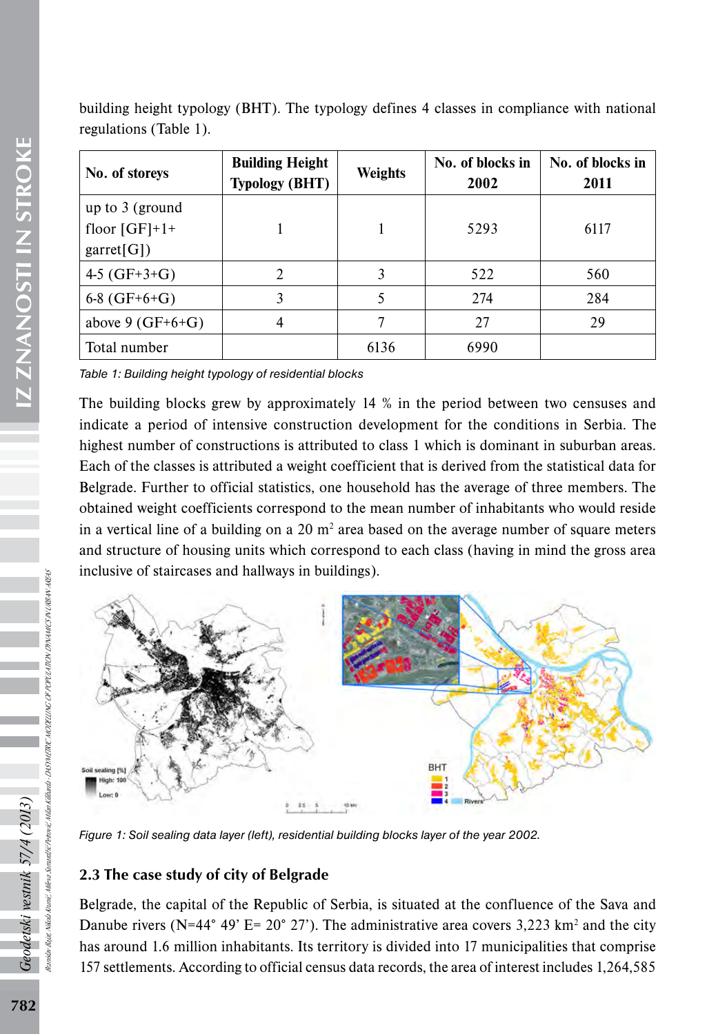ZNANOSTI IN STROKE 782*Geodetski vestnik 57/4 (2013)* IZ ZNANOSTI IN STROKE building height typology (BHT). The typology defines 4 classes in compliance with national regulations (Table 1).

| No. of storeys     | <b>Building Height</b><br><b>Typology (BHT)</b> | Weights | No. of blocks in<br>2002 | No. of blocks in<br>2011 |
|--------------------|-------------------------------------------------|---------|--------------------------|--------------------------|
| up to $3$ (ground  |                                                 |         |                          |                          |
| floor $[GF]+1+$    |                                                 |         | 5293                     | 6117                     |
| garret[G])         |                                                 |         |                          |                          |
| 4-5 $(GF+3+G)$     |                                                 |         | 522                      | 560                      |
| $6-8(GF+6+G)$      | 3                                               |         | 274                      | 284                      |
| above 9 $(GF+6+G)$ | 4                                               |         | 27                       | 29                       |
| Total number       |                                                 | 6136    | 6990                     |                          |

*Table 1: Building height typology of residential blocks*

The building blocks grew by approximately 14 % in the period between two censuses and indicate a period of intensive construction development for the conditions in Serbia. The highest number of constructions is attributed to class 1 which is dominant in suburban areas. Each of the classes is attributed a weight coefficient that is derived from the statistical data for Belgrade. Further to official statistics, one household has the average of three members. The obtained weight coefficients correspond to the mean number of inhabitants who would reside in a vertical line of a building on a  $20 \text{ m}^2$  area based on the average number of square meters and structure of housing units which correspond to each class (having in mind the gross area inclusive of staircases and hallways in buildings).



*Figure 1: Soil sealing data layer (left), residential building blocks layer of the year 2002.* 

# 2.3 The case study of city of Belgrade

Belgrade, the capital of the Republic of Serbia, is situated at the confluence of the Sava and Danube rivers (N=44 $\degree$  49' E= 20 $\degree$  27'). The administrative area covers 3,223 km<sup>2</sup> and the city has around 1.6 million inhabitants. Its territory is divided into 17 municipalities that comprise 157 settlements. According to official census data records, the area of interest includes 1,264,585

Branislav Bajat, Nikola Krunić, Mileva Samardžić Petrović, Milan Kilibarda - DASYMETRIC MODELLING OF POPULATION DYNAMICS IN URBAN AREAS

DASYMETRIC MODELLING OF POPULATION DYNAMICS IN URBAN AREAS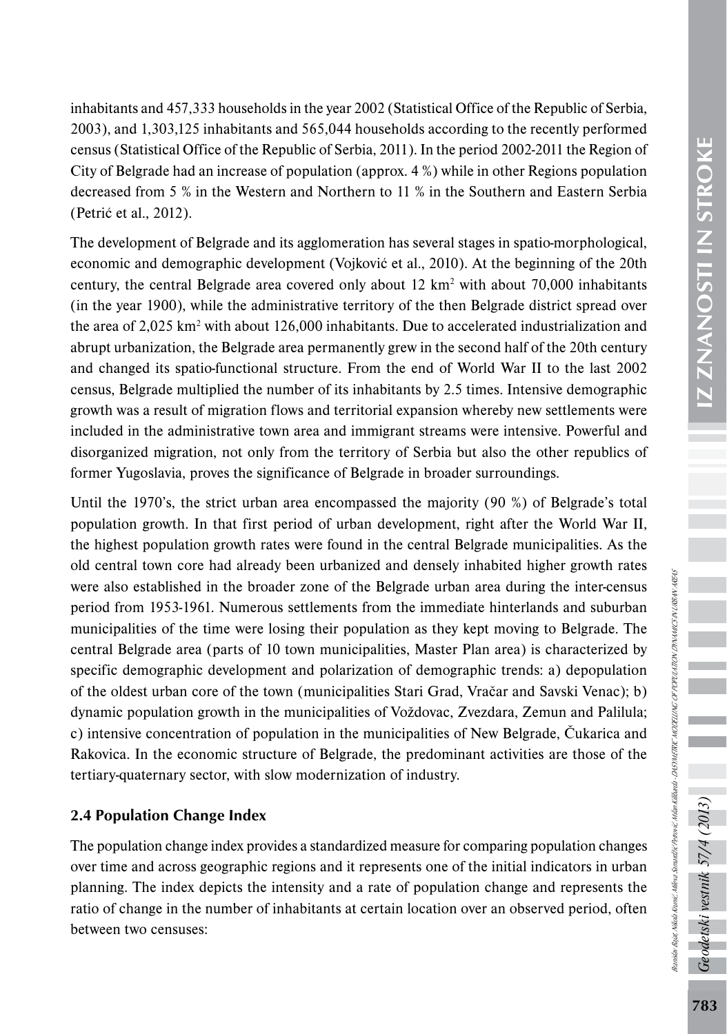inhabitants and 457,333 households in the year 2002 (Statistical Office of the Republic of Serbia, 2003), and 1,303,125 inhabitants and 565,044 households according to the recently performed census (Statistical Office of the Republic of Serbia, 2011). In the period 2002-2011 the Region of City of Belgrade had an increase of population (approx. 4 %) while in other Regions population decreased from 5 % in the Western and Northern to 11 % in the Southern and Eastern Serbia (Petrić et al., 2012).

The development of Belgrade and its agglomeration has several stages in spatio-morphological, economic and demographic development (Vojković et al., 2010). At the beginning of the 20th century, the central Belgrade area covered only about  $12 \text{ km}^2$  with about 70,000 inhabitants (in the year 1900), while the administrative territory of the then Belgrade district spread over the area of  $2,025$  km<sup>2</sup> with about 126,000 inhabitants. Due to accelerated industrialization and abrupt urbanization, the Belgrade area permanently grew in the second half of the 20th century and changed its spatio-functional structure. From the end of World War II to the last 2002 census, Belgrade multiplied the number of its inhabitants by 2.5 times. Intensive demographic growth was a result of migration flows and territorial expansion whereby new settlements were included in the administrative town area and immigrant streams were intensive. Powerful and disorganized migration, not only from the territory of Serbia but also the other republics of former Yugoslavia, proves the significance of Belgrade in broader surroundings.

Until the 1970's, the strict urban area encompassed the majority (90 %) of Belgrade's total population growth. In that first period of urban development, right after the World War II, the highest population growth rates were found in the central Belgrade municipalities. As the old central town core had already been urbanized and densely inhabited higher growth rates were also established in the broader zone of the Belgrade urban area during the inter-census period from 1953-1961. Numerous settlements from the immediate hinterlands and suburban municipalities of the time were losing their population as they kept moving to Belgrade. The central Belgrade area (parts of 10 town municipalities, Master Plan area) is characterized by specific demographic development and polarization of demographic trends: a) depopulation of the oldest urban core of the town (municipalities Stari Grad, Vračar and Savski Venac); b) dynamic population growth in the municipalities of Voždovac, Zvezdara, Zemun and Palilula; c) intensive concentration of population in the municipalities of New Belgrade, Čukarica and Rakovica. In the economic structure of Belgrade, the predominant activities are those of the tertiary-quaternary sector, with slow modernization of industry.

# 2.4 Population Change Index

The population change index provides a standardized measure for comparing population changes over time and across geographic regions and it represents one of the initial indicators in urban planning. The index depicts the intensity and a rate of population change and represents the ratio of change in the number of inhabitants at certain location over an observed period, often between two censuses:

Geodetski vestnik 57/4 (2013)

Branislav Bajat, Nikola Krunić, Mileva Samardžić Petrović, Milan Kilibarda - DASYMETRIC MODELLING OF POPULATION DYNAMICS IN URBAN AREAS

ranistav Bajet Nikola Kranić, Milena Samardžić Perrović, Mikin Kilibarda - DASYMETRIC MODZLINGO OF POPULATION DINAMICS N URBAN AREAS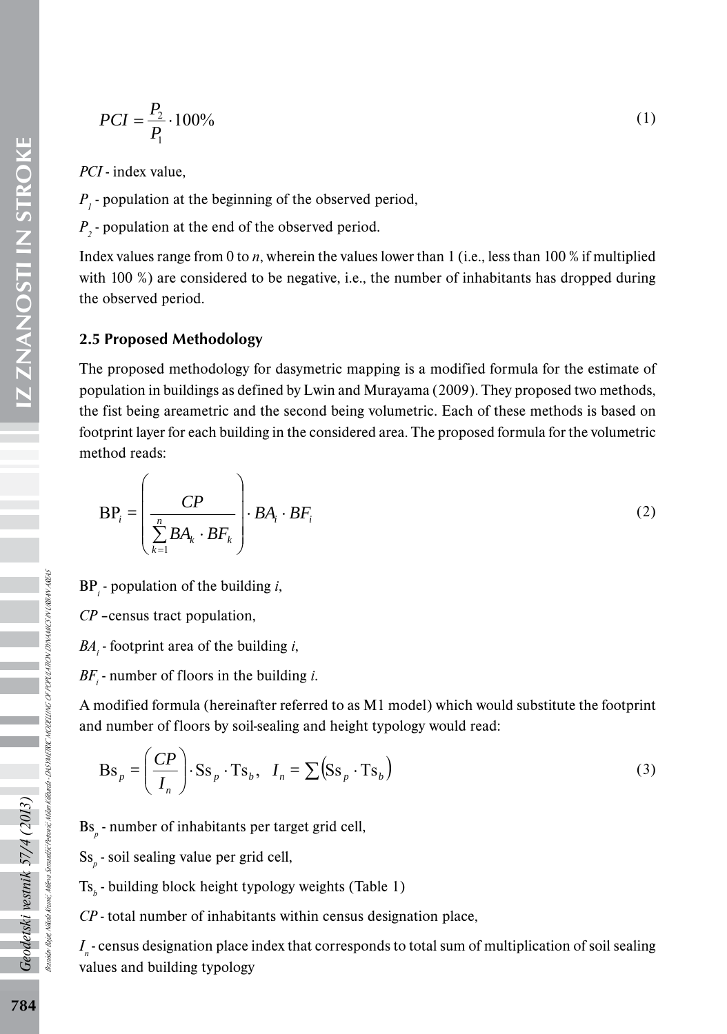$$
PCI = \frac{P_2}{P_1} \cdot 100\% \tag{1}
$$

*PCI* - index value,

 $P_{I}$  - population at the beginning of the observed period,

 $P_2$  - population at the end of the observed period.

Index values range from 0 to *n*, wherein the values lower than 1 (i.e., less than 100 % if multiplied with 100 %) are considered to be negative, i.e., the number of inhabitants has dropped during the observed period.

#### 2.5 Proposed Methodology

The proposed methodology for dasymetric mapping is a modified formula for the estimate of population in buildings as defined by Lwin and Murayama (2009). They proposed two methods, the fist being areametric and the second being volumetric. Each of these methods is based on footprint layer for each building in the considered area. The proposed formula for the volumetric method reads:

$$
BP_i = \left(\frac{CP}{\sum_{k=1}^n BA_k \cdot BF_k}\right) \cdot BA_i \cdot BF_i
$$
 (2)

BP*<sup>i</sup>* - population of the building *i*,

*CP* –census tract population,

*BA*<sub>*i*</sub> - footprint area of the building *i*,

 $BF_i$  - number of floors in the building *i*.

A modified formula (hereinafter referred to as M1 model) which would substitute the footprint and number of floors by soil-sealing and height typology would read:

$$
\text{Bs}_p = \left(\frac{CP}{I_n}\right) \cdot \text{Ss}_p \cdot \text{Ts}_b, \quad I_n = \sum (\text{Ss}_p \cdot \text{Ts}_b)
$$
 (3)

Bs<sub>p</sub> - number of inhabitants per target grid cell,

Ss*p* - soil sealing value per grid cell,

Ts<sub>b</sub> - building block height typology weights (Table 1)

*CP* - total number of inhabitants within census designation place,

*I<sub>n</sub>*-census designation place index that corresponds to total sum of multiplication of soil sealing values and building typology

Geodetski vestnik 57/4 (2013)

Branislav Bajat, Nikola Krunić, Mileva Samardžić Petrović, Milan Kilibarda - DASYMETRIC MODELLING OF POPULATION DYNAMICS IN URBAN AREAS

DASYMETRIC MODELING OF POPULATION DYNAMICS IN URBAN AREAS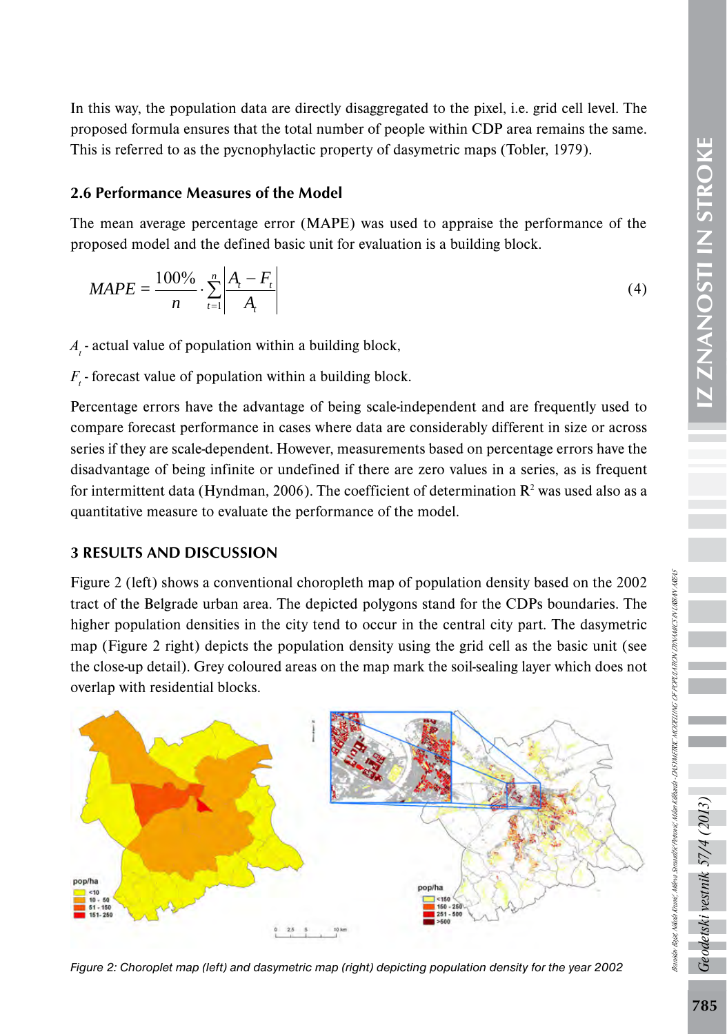In this way, the population data are directly disaggregated to the pixel, i.e. grid cell level. The proposed formula ensures that the total number of people within CDP area remains the same. This is referred to as the pycnophylactic property of dasymetric maps (Tobler, 1979).

# 2.6 Performance Measures of the Model

The mean average percentage error (MAPE) was used to appraise the performance of the proposed model and the defined basic unit for evaluation is a building block.

$$
MAPE = \frac{100\%}{n} \cdot \sum_{t=1}^{n} \left| \frac{A_t - F_t}{A_t} \right|
$$
 (4)

 $A_{t}$  - actual value of population within a building block,

 $F_{t}$  - forecast value of population within a building block.

Percentage errors have the advantage of being scale-independent and are frequently used to compare forecast performance in cases where data are considerably different in size or across series if they are scale-dependent. However, measurements based on percentage errors have the disadvantage of being infinite or undefined if there are zero values in a series, as is frequent for intermittent data (Hyndman, 2006). The coefficient of determination  $\mathbb{R}^2$  was used also as a quantitative measure to evaluate the performance of the model.

# 3 RESULTS AND DISCUSSION

Figure 2 (left) shows a conventional choropleth map of population density based on the 2002 tract of the Belgrade urban area. The depicted polygons stand for the CDPs boundaries. The higher population densities in the city tend to occur in the central city part. The dasymetric map (Figure 2 right) depicts the population density using the grid cell as the basic unit (see the close-up detail). Grey coloured areas on the map mark the soil-sealing layer which does not overlap with residential blocks.



*Figure 2: Choroplet map (left) and dasymetric map (right) depicting population density for the year 2002* 

odetski vestnik 57/4 (2013

Branislav Bajat, Nikola Krunić, Mileva Samardžić Petrović, Milan Kilibarda - DASYMETRIC MODELLING OF POPULATION DYNAMICS IN URBAN AREAS

ranskin Baja, Nikola Kranić, Mlesa Samatžić Pertović, Mikondo-DAS METRIC MODELLING OF POPULATRON DINAMICS IN URBAN AREAS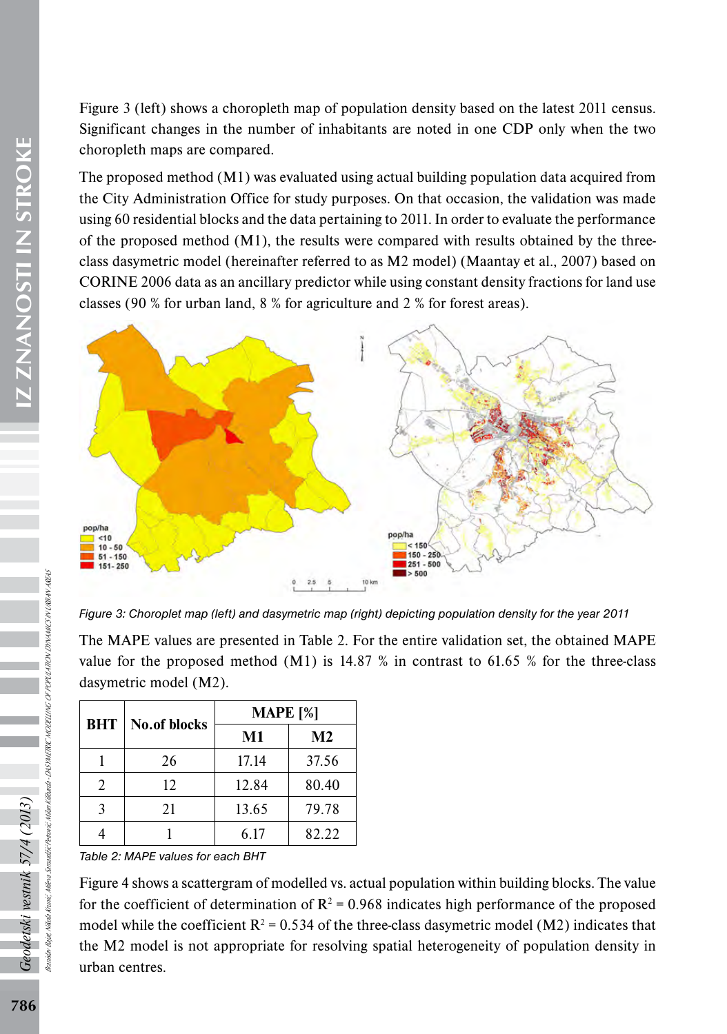Figure 3 (left) shows a choropleth map of population density based on the latest 2011 census. Significant changes in the number of inhabitants are noted in one CDP only when the two choropleth maps are compared.

The proposed method (M1) was evaluated using actual building population data acquired from the City Administration Office for study purposes. On that occasion, the validation was made using 60 residential blocks and the data pertaining to 2011. In order to evaluate the performance of the proposed method  $(M1)$ , the results were compared with results obtained by the threeclass dasymetric model (hereinafter referred to as M2 model) (Maantay et al., 2007) based on CORINE 2006 data as an ancillary predictor while using constant density fractions for land use classes (90 % for urban land, 8 % for agriculture and 2 % for forest areas).



*Figure 3: Choroplet map (left) and dasymetric map (right) depicting population density for the year 2011* 

The MAPE values are presented in Table 2. For the entire validation set, the obtained MAPE value for the proposed method  $(M1)$  is 14.87 % in contrast to 61.65 % for the three-class dasymetric model (M2).

| <b>BHT</b>                  | <b>No.of blocks</b> | <b>MAPE</b> [%] |                |  |
|-----------------------------|---------------------|-----------------|----------------|--|
|                             |                     | M1              | M <sub>2</sub> |  |
|                             | 26                  | 17.14           | 37.56          |  |
| $\mathcal{D}_{\mathcal{A}}$ | 12                  | 12.84           | 80.40          |  |
| $\mathbf{3}$                | 21                  | 13.65           | 79.78          |  |
|                             |                     | 6.17            | 82.22          |  |

*Table 2: MAPE values for each BHT*

Figure 4 shows a scattergram of modelled vs. actual population within building blocks. The value for the coefficient of determination of  $\mathbb{R}^2 = 0.968$  indicates high performance of the proposed model while the coefficient  $R^2 = 0.534$  of the three-class dasymetric model (M2) indicates that the M2 model is not appropriate for resolving spatial heterogeneity of population density in urban centres.

Geodetski vestnik 57/4 (2013)

Branislav Bajat, Nikola Krunić, Mileva Samardžić Petrović, Milan Kilibarda - DASYMETRIC MODELLING OF POPULATION DYNAMICS IN URBAN AREAS

023-AST METRIC MODELING OF POPULATION DTNAMICS IN URBAN AREAS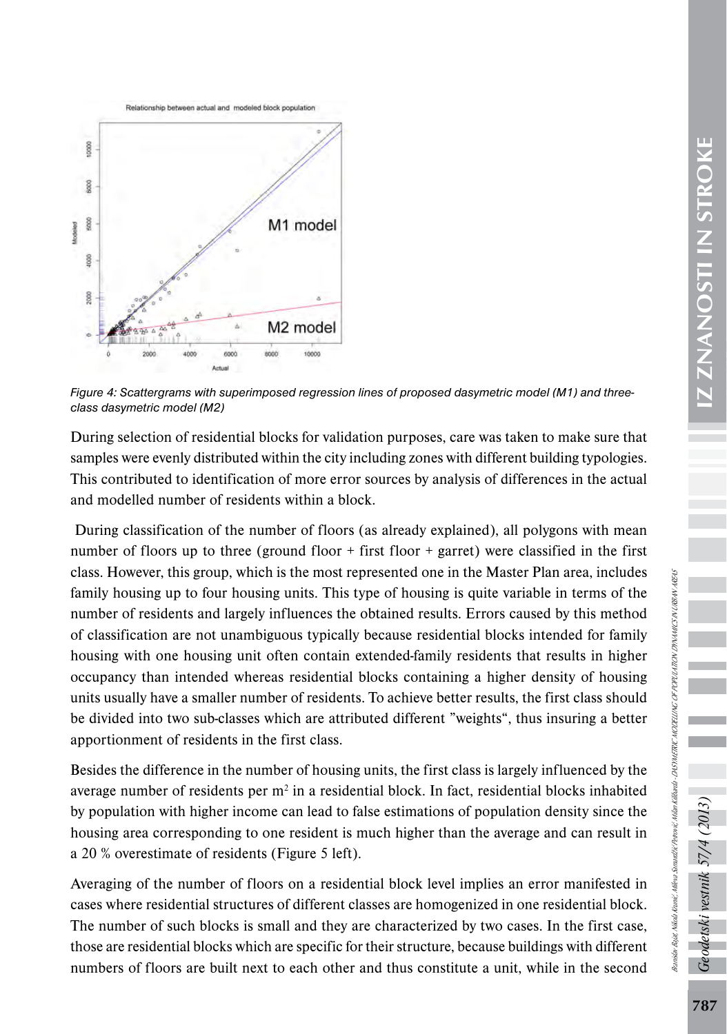



*Figure 4: Scattergrams with superimposed regression lines of proposed dasymetric model (M1) and threeclass dasymetric model (M2)*

During selection of residential blocks for validation purposes, care was taken to make sure that samples were evenly distributed within the city including zones with different building typologies. This contributed to identification of more error sources by analysis of differences in the actual and modelled number of residents within a block.

 During classification of the number of floors (as already explained), all polygons with mean number of floors up to three (ground floor + first floor + garret) were classified in the first class. However, this group, which is the most represented one in the Master Plan area, includes family housing up to four housing units. This type of housing is quite variable in terms of the number of residents and largely influences the obtained results. Errors caused by this method of classification are not unambiguous typically because residential blocks intended for family housing with one housing unit often contain extended-family residents that results in higher occupancy than intended whereas residential blocks containing a higher density of housing units usually have a smaller number of residents. To achieve better results, the first class should be divided into two sub-classes which are attributed different "weights", thus insuring a better apportionment of residents in the first class.

Besides the difference in the number of housing units, the first class is largely influenced by the average number of residents per  $m<sup>2</sup>$  in a residential block. In fact, residential blocks inhabited by population with higher income can lead to false estimations of population density since the housing area corresponding to one resident is much higher than the average and can result in a 20 % overestimate of residents (Figure 5 left).

Averaging of the number of floors on a residential block level implies an error manifested in cases where residential structures of different classes are homogenized in one residential block. The number of such blocks is small and they are characterized by two cases. In the first case, those are residential blocks which are specific for their structure, because buildings with different numbers of floors are built next to each other and thus constitute a unit, while in the second

 $58$ 

odetski vestnik 57/4 (2013)

Branislav Bajat, Nikola Krunić, Mileva Samardžić Petrović, Milan Kilibarda - DASYMETRIC MODELLING OF POPULATION DYNAMICS IN URBAN AREAS

Ranislav Baiet Nikola Krunić Milena Semanžić Perrović, Milan Kilibarda - DASYMETRIC MODELLING OF POPULATION DINAMICS IN URBAN AREAS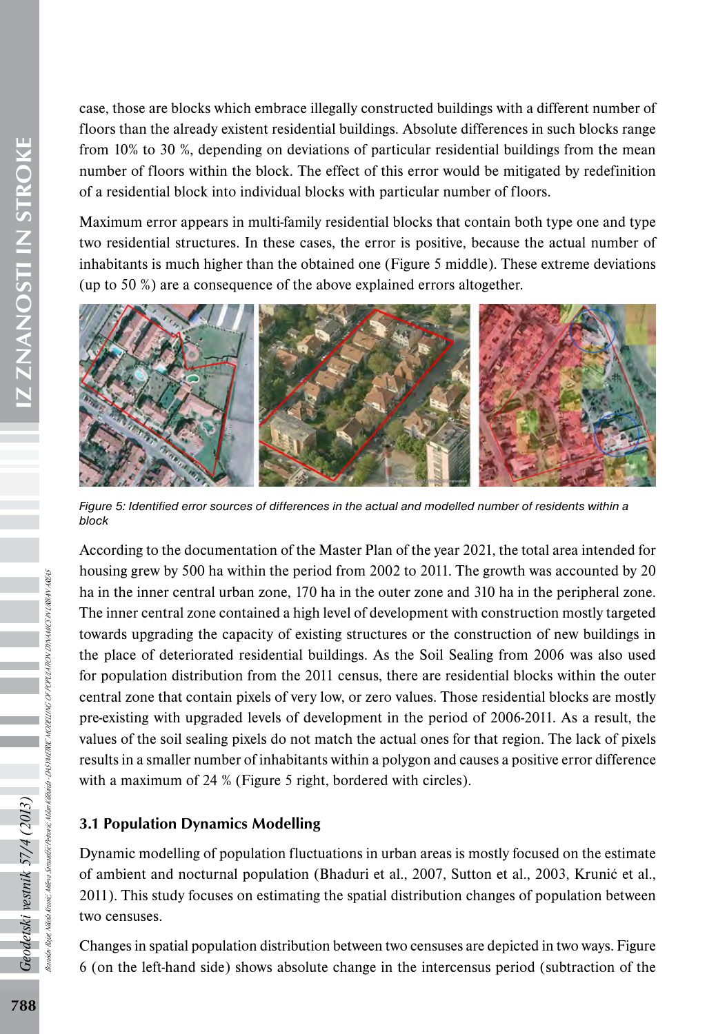case, those are blocks which embrace illegally constructed buildings with a different number of floors than the already existent residential buildings. Absolute differences in such blocks range from 10% to 30 %, depending on deviations of particular residential buildings from the mean number of floors within the block. The effect of this error would be mitigated by redefinition of a residential block into individual blocks with particular number of floors.

Maximum error appears in multi-family residential blocks that contain both type one and type two residential structures. In these cases, the error is positive, because the actual number of inhabitants is much higher than the obtained one (Figure 5 middle). These extreme deviations (up to 50 %) are a consequence of the above explained errors altogether.



*Figure 5: Identified error sources of differences in the actual and modelled number of residents within a block*

According to the documentation of the Master Plan of the year 2021, the total area intended for housing grew by 500 ha within the period from 2002 to 2011. The growth was accounted by 20 ha in the inner central urban zone, 170 ha in the outer zone and 310 ha in the peripheral zone. The inner central zone contained a high level of development with construction mostly targeted towards upgrading the capacity of existing structures or the construction of new buildings in the place of deteriorated residential buildings. As the Soil Sealing from 2006 was also used for population distribution from the 2011 census, there are residential blocks within the outer central zone that contain pixels of very low, or zero values. Those residential blocks are mostly pre-existing with upgraded levels of development in the period of 2006-2011. As a result, the values of the soil sealing pixels do not match the actual ones for that region. The lack of pixels results in a smaller number of inhabitants within a polygon and causes a positive error difference with a maximum of 24 % (Figure 5 right, bordered with circles).

# 3.1 Population Dynamics Modelling

Dynamic modelling of population fluctuations in urban areas is mostly focused on the estimate of ambient and nocturnal population (Bhaduri et al., 2007, Sutton et al., 2003, Krunić et al., 2011). This study focuses on estimating the spatial distribution changes of population between two censuses.

Changes in spatial population distribution between two censuses are depicted in two ways. Figure 6 (on the left-hand side) shows absolute change in the intercensus period (subtraction of the

Geodetski vestnik 57/4 (2013)

Branislav Bajat, Nikola Krunić, Mileva Samardžić Petrović, Milan Kilibarda - DASYMETRIC MODELLING OF POPULATION DYNAMICS IN URBAN AREAS

DASYMETRIC MODELLING OF POPULATION DYNAMICS IN URBAN AREAS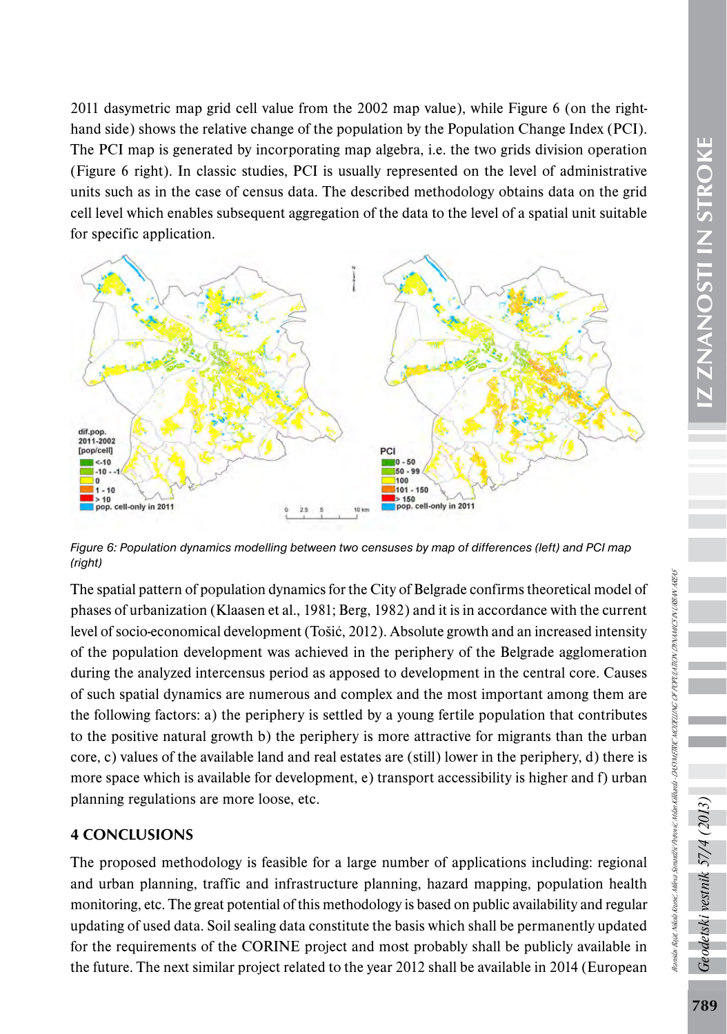2011 dasymetric map grid cell value from the 2002 map value), while Figure 6 (on the righthand side) shows the relative change of the population by the Population Change Index (PCI). The PCI map is generated by incorporating map algebra, i.e. the two grids division operation (Figure 6 right). In classic studies, PCI is usually represented on the level of administrative units such as in the case of census data. The described methodology obtains data on the grid cell level which enables subsequent aggregation of the data to the level of a spatial unit suitable for specific application.



*Figure 6: Population dynamics modelling between two censuses by map of differences (left) and PCI map (right)* 

The spatial pattern of population dynamics for the City of Belgrade confirms theoretical model of phases of urbanization (Klaasen et al., 1981; Berg, 1982) and it is in accordance with the current level of socio-economical development (Tošić, 2012). Absolute growth and an increased intensity of the population development was achieved in the periphery of the Belgrade agglomeration during the analyzed intercensus period as apposed to development in the central core. Causes of such spatial dynamics are numerous and complex and the most important among them are the following factors: a) the periphery is settled by a young fertile population that contributes to the positive natural growth b) the periphery is more attractive for migrants than the urban core, c) values of the available land and real estates are (still) lower in the periphery, d) there is more space which is available for development, e) transport accessibility is higher and f) urban planning regulations are more loose, etc.

# 4 CONCLUSIONS

The proposed methodology is feasible for a large number of applications including: regional and urban planning, traffic and infrastructure planning, hazard mapping, population health monitoring, etc. The great potential of this methodology is based on public availability and regular updating of used data. Soil sealing data constitute the basis which shall be permanently updated for the requirements of the CORINE project and most probably shall be publicly available in the future. The next similar project related to the year 2012 shall be available in 2014 (European

جح

odetski vestnik 57/4 (2013)

Branislav Bajat, Nikola Krunić, Mileva Samardžić Petrović, Milan Kilibarda - DASYMETRIC MODELLING OF POPULATION DYNAMICS IN URBAN AREAS

Ranislav Baiet Nikola Krunić Milena Semardžić Permeić, Milan Kilibarda - DASI METRIC MODELLING OF POPULATION DINAMICS IN URBAN AREAS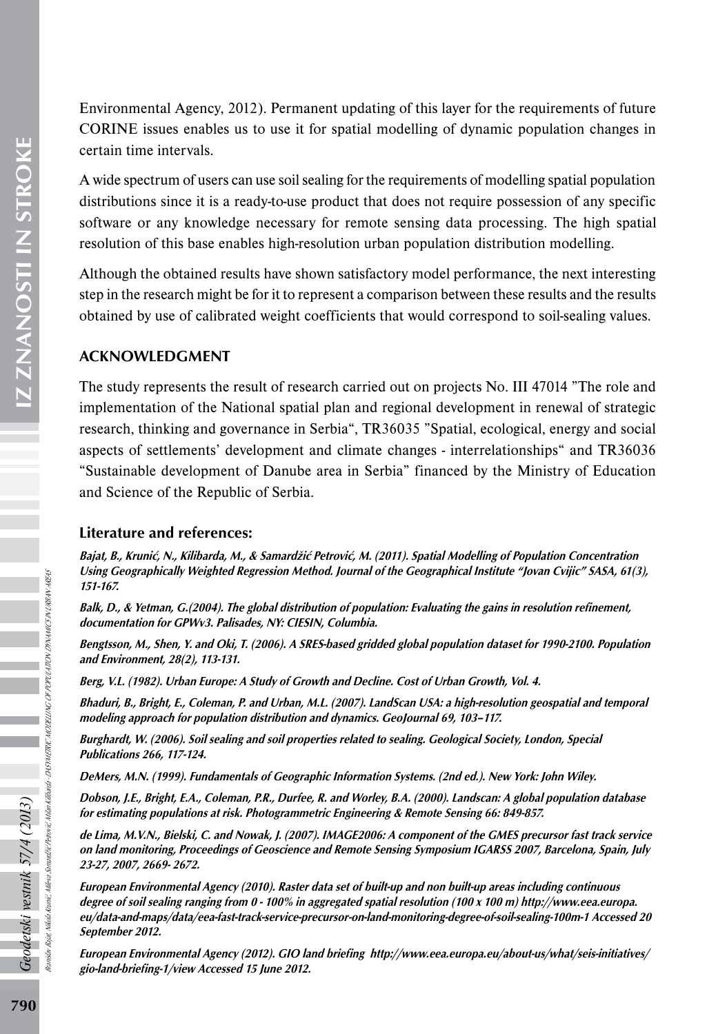Environmental Agency, 2012). Permanent updating of this layer for the requirements of future CORINE issues enables us to use it for spatial modelling of dynamic population changes in certain time intervals.

A wide spectrum of users can use soil sealing for the requirements of modelling spatial population distributions since it is a ready-to-use product that does not require possession of any specific software or any knowledge necessary for remote sensing data processing. The high spatial resolution of this base enables high-resolution urban population distribution modelling.

Although the obtained results have shown satisfactory model performance, the next interesting step in the research might be for it to represent a comparison between these results and the results obtained by use of calibrated weight coefficients that would correspond to soil-sealing values.

#### **ACKNOWLEDGMENT**

The study represents the result of research carried out on projects No. III 47014 "The role and implementation of the National spatial plan and regional development in renewal of strategic research, thinking and governance in Serbia", TR36035 "Spatial, ecological, energy and social aspects of settlements' development and climate changes - interrelationships" and TR36036 "Sustainable development of Danube area in Serbia" financed by the Ministry of Education and Science of the Republic of Serbia.

#### Literature and references:

Bajat, B., Krunić, N., Kilibarda, M., & Samardžić Petrović, M. (2011). Spatial Modelling of Population Concentration Using Geographically Weighted Regression Method. Journal of the Geographical Institute "Jovan Cvijic" SASA, 61(3), 151-167.

Balk, D., & Yetman, G.(2004). The global distribution of population: Evaluating the gains in resolution refinement, documentation for GPWv3. Palisades, NY: CIESIN, Columbia.

Bengtsson, M., Shen, Y. and Oki, T. (2006). A SRES-based gridded global population dataset for 1990-2100. Population and Environment, 28(2), 113-131.

Berg, V.L. (1982). Urban Europe: A Study of Growth and Decline. Cost of Urban Growth, Vol. 4.

Bhaduri, B., Bright, E., Coleman, P. and Urban, M.L. (2007). LandScan USA: a high-resolution geospatial and temporal modeling approach for population distribution and dynamics. GeoJournal 69, 103–117.

Burghardt, W. (2006). Soil sealing and soil properties related to sealing. Geological Society, London, Special Publications 266, 117-124.

DeMers, M.N. (1999). Fundamentals of Geographic Information Systems. (2nd ed.). New York: John Wiley.

Dobson, J.E., Bright, E.A., Coleman, P.R., Durfee, R. and Worley, B.A. (2000). Landscan: A global population database for estimating populations at risk. Photogrammetric Engineering & Remote Sensing 66: 849-857.

de Lima, M.V.N., Bielski, C. and Nowak, J. (2007). IMAGE2006: A component of the GMES precursor fast track service on land monitoring, Proceedings of Geoscience and Remote Sensing Symposium IGARSS 2007, Barcelona, Spain, July 23-27, 2007, 2669- 2672.

European Environmental Agency (2010). Raster data set of built-up and non built-up areas including continuous degree of soil sealing ranging from 0 - 100% in aggregated spatial resolution (100 x 100 m) [http://www.eea.europa.](http://www.eea.europa.eu/data-and-maps/data/eea-fast-track-service-precursor-on-land-monitoring-degree-of-soil-sealing-100m-1) [eu/data-and-maps/data/eea-fast-track-service-precursor-on-land-monitoring-degree-of-soil-sealing-100m-1](http://www.eea.europa.eu/data-and-maps/data/eea-fast-track-service-precursor-on-land-monitoring-degree-of-soil-sealing-100m-1) Accessed 20 September 2012.

European Environmental Agency (2012). GIO land briefing [http://www.eea.europa.eu/about-us/what/seis-initiatives/](http://www.eea.europa.eu/about-us/what/seis-initiatives/gio-land-briefing-1/view) [gio-land-briefing-1/view](http://www.eea.europa.eu/about-us/what/seis-initiatives/gio-land-briefing-1/view) Accessed 15 June 2012.

Branislav Bajat, Nikola Krunić, Mileva Samardžić Petrović, Milan Kilibarda - DASYMETRIC MODELLING OF POPULATION DYNAMICS IN URBAN AREAS

- DASYMETRIC MODELING OF POPULATION DYNAMICS IN URBAN AREAS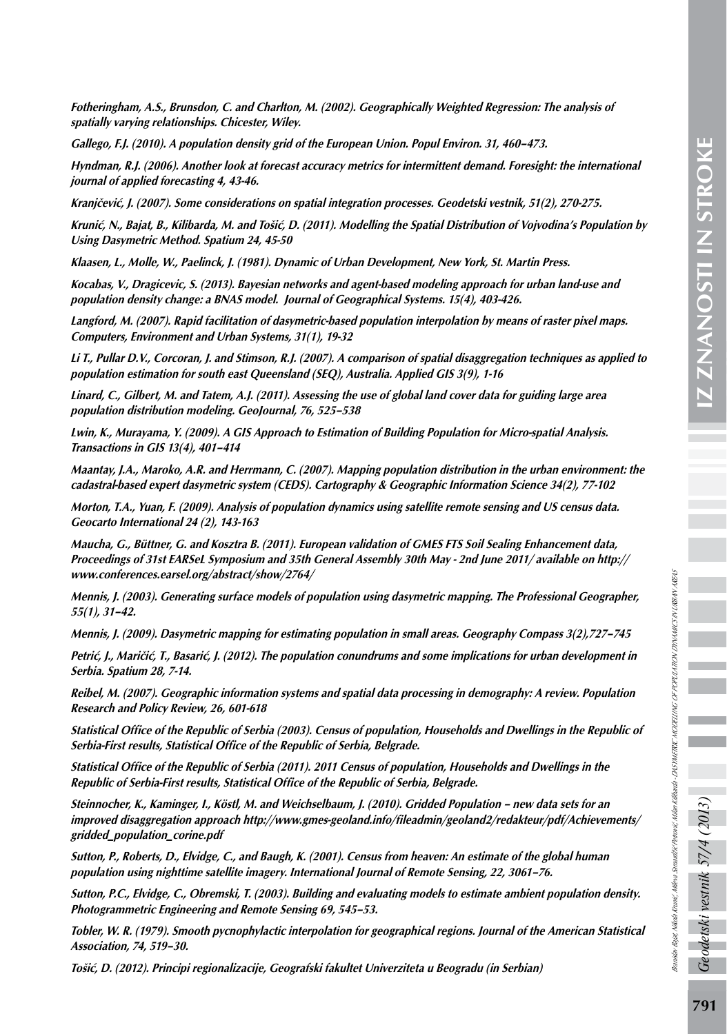Branislav Bajat, Nikola Krunić, Mileva Samardžić Petrović, Milan Kilibarda - DASYMETRIC MODELLING OF POPULATION DYNAMICS IN URBAN AREAS

ranisiav Baiet, Nikola Kranić Milera Samudžić Permić, Milanda - DASYMETRIC MODELLING OF POPULATION DINAMICS NU UBAN AREAS

Fotheringham, A.S., Brunsdon, C. and Charlton, M. (2002). Geographically Weighted Regression: The analysis of spatially varying relationships. Chicester, Wiley.

Gallego, F.J. (2010). A population density grid of the European Union. Popul Environ. 31, 460–473.

Hyndman, R.J. (2006). Another look at forecast accuracy metrics for intermittent demand. Foresight: the international journal of applied forecasting 4, 43-46.

Kranjčević, J. (2007). Some considerations on spatial integration processes. Geodetski vestnik, 51(2), 270-275.

Krunić, N., Bajat, B., Kilibarda, M. and Tošić, D. (2011). Modelling the Spatial Distribution of Vojvodina's Population by Using Dasymetric Method. Spatium 24, 45-50

Klaasen, L., Molle, W., Paelinck, J. (1981). Dynamic of Urban Development, New York, St. Martin Press.

Kocabas, V., Dragicevic, S. (2013). Bayesian networks and agent-based modeling approach for urban land-use and population density change: a BNAS model. Journal of Geographical Systems. 15(4), 403-426.

Langford, M. (2007). Rapid facilitation of dasymetric-based population interpolation by means of raster pixel maps. Computers, Environment and Urban Systems, 31(1), 19-32

Li T., Pullar D.V., Corcoran, J. and Stimson, R.J. (2007). A comparison of spatial disaggregation techniques as applied to population estimation for south east Queensland (SEQ), Australia. Applied GIS 3(9), 1-16

Linard, C., Gilbert, M. and Tatem, A.J. (2011). Assessing the use of global land cover data for guiding large area population distribution modeling. GeoJournal, 76, 525–538

Lwin, K., Murayama, Y. (2009). A GIS Approach to Estimation of Building Population for Micro-spatial Analysis. Transactions in GIS 13(4), 401–414

Maantay, J.A., Maroko, A.R. and Herrmann, C. (2007). Mapping population distribution in the urban environment: the cadastral-based expert dasymetric system (CEDS). Cartography & Geographic Information Science 34(2), 77-102

Morton, T.A., Yuan, F. (2009). Analysis of population dynamics using satellite remote sensing and US census data. Geocarto International 24 (2), 143-163

Maucha, G., Büttner, G. and Kosztra B. (2011). European validation of GMES FTS Soil Sealing Enhancement data, Proceedings of 31st EARSeL Symposium and 35th General Assembly 30th May - 2nd June 2011/ available on [http://](http://www.conferences.earsel.org/abstract/show/2764/%0D) [www.conferences.earsel.org/abstract/show/2764/](http://www.conferences.earsel.org/abstract/show/2764/%0D)

Mennis, J. (2003). Generating surface models of population using dasymetric mapping. The Professional Geographer, 55(1), 31–42.

Mennis, J. (2009). Dasymetric mapping for estimating population in small areas. Geography Compass 3(2),727–745

Petrić, J., Maričić, T., Basarić, J. (2012). The population conundrums and some implications for urban development in Serbia. Spatium 28, 7-14.

Reibel, M. (2007). Geographic information systems and spatial data processing in demography: A review. Population Research and Policy Review, 26, 601-618

Statistical Office of the Republic of Serbia (2003). Census of population, Households and Dwellings in the Republic of Serbia-First results, Statistical Office of the Republic of Serbia, Belgrade.

Statistical Office of the Republic of Serbia (2011). 2011 Census of population, Households and Dwellings in the Republic of Serbia-First results, Statistical Office of the Republic of Serbia, Belgrade.

Steinnocher, K., Kaminger, I., Köstl, M. and Weichselbaum, J. (2010). Gridded Population – new data sets for an improved disaggregation approach [http://www.gmes-geoland.info/fileadmin/geoland2/redakteur/pdf/Achievements/](http://www.gmes-geoland.info/fileadmin/geoland2/redakteur/pdf/Achievements/gridded_population_corine.pdf%0D) [gridded\\_population\\_corine.pdf](http://www.gmes-geoland.info/fileadmin/geoland2/redakteur/pdf/Achievements/gridded_population_corine.pdf%0D)

Sutton, P., Roberts, D., Elvidge, C., and Baugh, K. (2001). Census from heaven: An estimate of the global human population using nighttime satellite imagery. International Journal of Remote Sensing, 22, 3061–76.

Sutton, P.C., Elvidge, C., Obremski, T. (2003). Building and evaluating models to estimate ambient population density. Photogrammetric Engineering and Remote Sensing 69, 545–53.

Tobler, W. R. (1979). Smooth pycnophylactic interpolation for geographical regions. Journal of the American Statistical Association, 74, 519–30.

Tošić, D. (2012). Principi regionalizacije, Geografski fakultet Univerziteta u Beogradu (in Serbian)